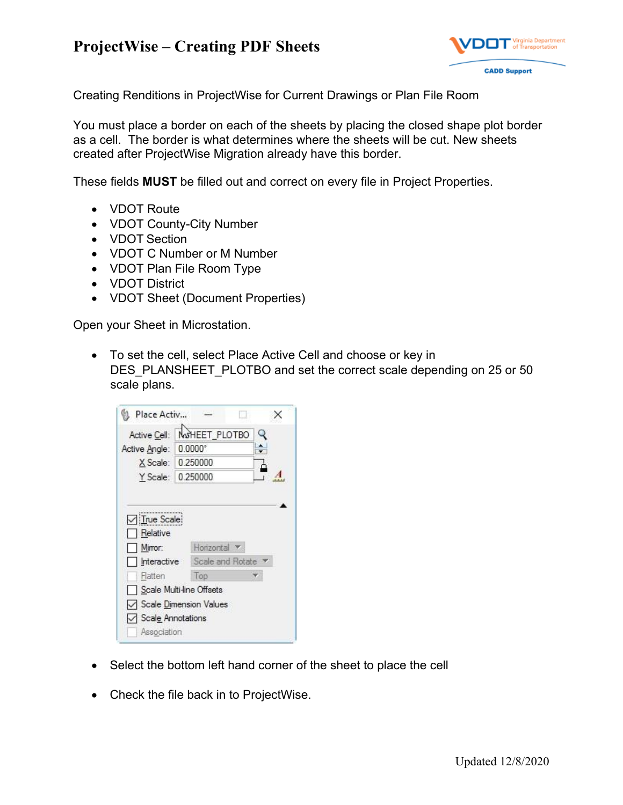## **ProjectWise – Creating PDF Sheets**



Creating Renditions in ProjectWise for Current Drawings or Plan File Room

You must place a border on each of the sheets by placing the closed shape plot border as a cell. The border is what determines where the sheets will be cut. New sheets created after ProjectWise Migration already have this border.

These fields **MUST** be filled out and correct on every file in Project Properties.

- VDOT Route
- VDOT County-City Number
- VDOT Section
- VDOT C Number or M Number
- VDOT Plan File Room Type
- VDOT District
- VDOT Sheet (Document Properties)

Open your Sheet in Microstation.

 To set the cell, select Place Active Cell and choose or key in DES PLANSHEET PLOTBO and set the correct scale depending on 25 or 50 scale plans.

| Active Cell:                               | MOHEET_PLOTBO            | Q                |  |
|--------------------------------------------|--------------------------|------------------|--|
| Active Angle: 0.0000°                      |                          |                  |  |
|                                            | X Scale: 0.250000        |                  |  |
| Y Scale:                                   | 0.250000                 |                  |  |
| <b>V</b> True Scale<br>Relative<br>Mirror: | Horizontal v             |                  |  |
| Interactive                                |                          | Scale and Rotate |  |
| Flatten                                    | Top                      |                  |  |
|                                            | Scale Multi-line Offsets |                  |  |
|                                            | Scale Dimension Values   |                  |  |
| Scale Annotations                          |                          |                  |  |

- Select the bottom left hand corner of the sheet to place the cell
- Check the file back in to ProjectWise.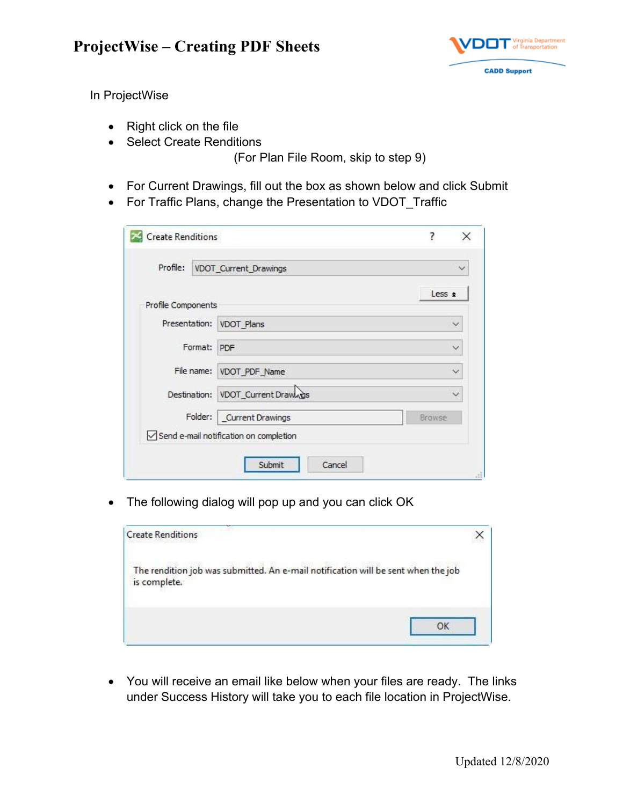

## In ProjectWise

- Right click on the file
- Select Create Renditions

(For Plan File Room, skip to step 9)

- For Current Drawings, fill out the box as shown below and click Submit
- For Traffic Plans, change the Presentation to VDOT Traffic

| Profile:           | VDOT_Current_Drawings                  | $\checkmark$ |
|--------------------|----------------------------------------|--------------|
|                    |                                        | Less *       |
| Profile Components |                                        |              |
|                    | Presentation: VDOT_Plans               | v            |
| Format:            | PDF                                    | $\checkmark$ |
|                    | File name: VDOT_PDF_Name               | $\checkmark$ |
|                    | Destination: VDOT_Current Drawings     | $\checkmark$ |
| Folder:            | Current Drawings                       | Browse       |
|                    | Send e-mail notification on completion |              |

• The following dialog will pop up and you can click OK



 You will receive an email like below when your files are ready. The links under Success History will take you to each file location in ProjectWise.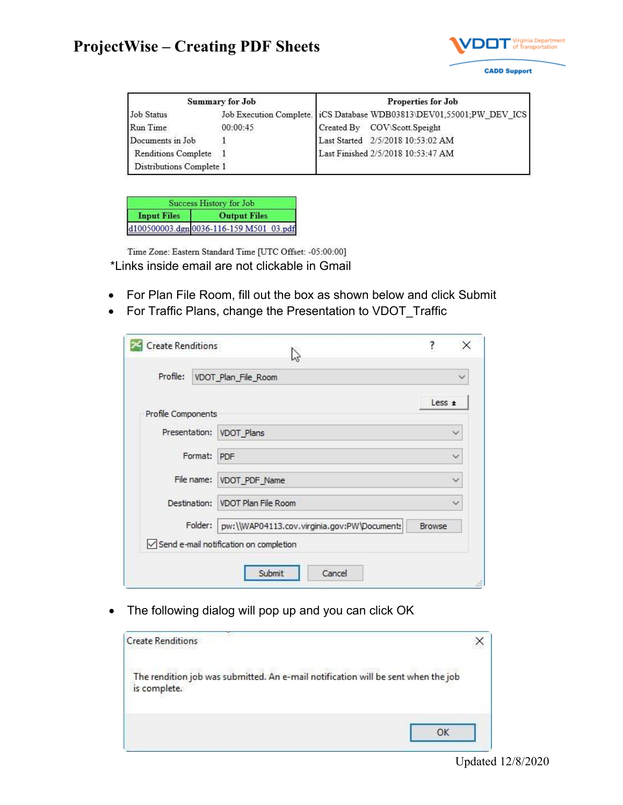## **ProjectWise – Creating PDF Sheets**



| <b>Summary for Job</b>     |          | <b>Properties for Job</b> |                                                                        |  |
|----------------------------|----------|---------------------------|------------------------------------------------------------------------|--|
| Job Status                 |          |                           | Job Execution Complete.   iCS Database WDB03813\DEV01,55001;PW DEV ICS |  |
| Run Time                   | 00:00:45 |                           | Created By COV\Scott.Speight                                           |  |
| Documents in Job           |          |                           | Last Started 2/5/2018 10:53:02 AM                                      |  |
| <b>Renditions Complete</b> |          |                           | Last Finished 2/5/2018 10:53:47 AM                                     |  |
| Distributions Complete 1   |          |                           |                                                                        |  |

Success History for Job **Input Files Output Files** d100500003.dgn 0036-116-159 M501 03.pdf

Time Zone: Eastern Standard Time [UTC Offset: -05:00:00]

\*Links inside email are not clickable in Gmail

- For Plan File Room, fill out the box as shown below and click Submit
- For Traffic Plans, change the Presentation to VDOT\_Traffic

| Profile:           |            | VDOT_Plan_File_Room                         | $\checkmark$  |
|--------------------|------------|---------------------------------------------|---------------|
|                    |            |                                             | Less ±        |
| Profile Components |            |                                             |               |
|                    |            | Presentation: VDOT_Plans                    | $\checkmark$  |
|                    | Format:    | PDF                                         | $\checkmark$  |
|                    | File name: | VDOT_PDF_Name                               | $\checkmark$  |
|                    |            | Destination: VDOT Plan File Room            | $\checkmark$  |
|                    | Folder:    | pw:\\WAP04113.cov.virginia.gov:PW\Documents | <b>Browse</b> |
|                    |            | Send e-mail notification on completion      |               |

• The following dialog will pop up and you can click OK

| <b>Create Renditions</b>                                                                          |    |
|---------------------------------------------------------------------------------------------------|----|
| The rendition job was submitted. An e-mail notification will be sent when the job<br>is complete. |    |
|                                                                                                   | ΩK |